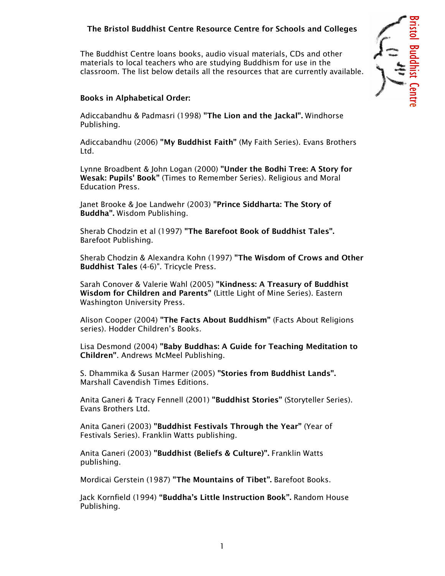## The Bristol Buddhist Centre Resource Centre for Schools and Colleges

The Buddhist Centre loans books, audio visual materials, CDs and other materials to local teachers who are studying Buddhism for use in the classroom. The list below details all the resources that are currently available.

### Books in Alphabetical Order:

Adiccabandhu & Padmasri (1998) "The Lion and the Jackal". Windhorse Publishing.

Adiccabandhu (2006) "My Buddhist Faith" (My Faith Series). Evans Brothers Ltd.

Lynne Broadbent & John Logan (2000) "Under the Bodhi Tree: A Story for Wesak: Pupils' Book" (Times to Remember Series). Religious and Moral Education Press.

Janet Brooke & Joe Landwehr (2003) "Prince Siddharta: The Story of Buddha". Wisdom Publishing.

Sherab Chodzin et al (1997) "The Barefoot Book of Buddhist Tales". Barefoot Publishing.

Sherab Chodzin & Alexandra Kohn (1997) "The Wisdom of Crows and Other Buddhist Tales (4-6)". Tricycle Press.

Sarah Conover & Valerie Wahl (2005) "Kindness: A Treasury of Buddhist Wisdom for Children and Parents" (Little Light of Mine Series). Eastern Washington University Press.

Alison Cooper (2004) "The Facts About Buddhism" (Facts About Religions series). Hodder Children's Books.

Lisa Desmond (2004) "Baby Buddhas: A Guide for Teaching Meditation to Children". Andrews McMeel Publishing.

S. Dhammika & Susan Harmer (2005) "Stories from Buddhist Lands". Marshall Cavendish Times Editions.

Anita Ganeri & Tracy Fennell (2001) "Buddhist Stories" (Storyteller Series). Evans Brothers Ltd.

Anita Ganeri (2003) "Buddhist Festivals Through the Year" (Year of Festivals Series). Franklin Watts publishing.

Anita Ganeri (2003) "Buddhist (Beliefs & Culture)". Franklin Watts publishing.

Mordicai Gerstein (1987) "The Mountains of Tibet". Barefoot Books.

Jack Kornfield (1994) "Buddha's Little Instruction Book". Random House Publishing.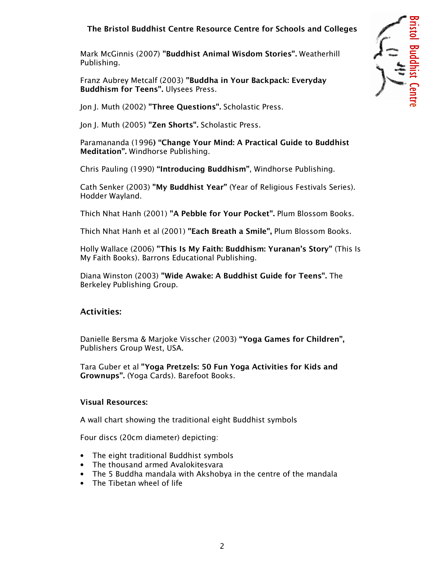# The Bristol Buddhist Centre Resource Centre for Schools and Colleges

Mark McGinnis (2007) "Buddhist Animal Wisdom Stories". Weatherhill Publishing.

Franz Aubrey Metcalf (2003) "Buddha in Your Backpack: Everyday Buddhism for Teens". Ulysees Press.

Jon J. Muth (2002) "Three Questions". Scholastic Press.

Jon J. Muth (2005) "Zen Shorts". Scholastic Press.

Paramananda (1996) "Change Your Mind: A Practical Guide to Buddhist Meditation". Windhorse Publishing.

Chris Pauling (1990) "Introducing Buddhism", Windhorse Publishing.

Cath Senker (2003) "My Buddhist Year" (Year of Religious Festivals Series). Hodder Wayland.

Thich Nhat Hanh (2001) "A Pebble for Your Pocket". Plum Blossom Books.

Thich Nhat Hanh et al (2001) "Each Breath a Smile", Plum Blossom Books.

Holly Wallace (2006) "This Is My Faith: Buddhism: Yuranan's Story" (This Is My Faith Books). Barrons Educational Publishing.

Diana Winston (2003) "Wide Awake: A Buddhist Guide for Teens". The Berkeley Publishing Group.

### Activities:

Danielle Bersma & Marjoke Visscher (2003) "Yoga Games for Children", Publishers Group West, USA.

Tara Guber et al "Yoga Pretzels: 50 Fun Yoga Activities for Kids and Grownups". (Yoga Cards). Barefoot Books.

### Visual Resources:

A wall chart showing the traditional eight Buddhist symbols

Four discs (20cm diameter) depicting:

- The eight traditional Buddhist symbols
- The thousand armed Avalokitesvara
- The 5 Buddha mandala with Akshobya in the centre of the mandala
- The Tibetan wheel of life